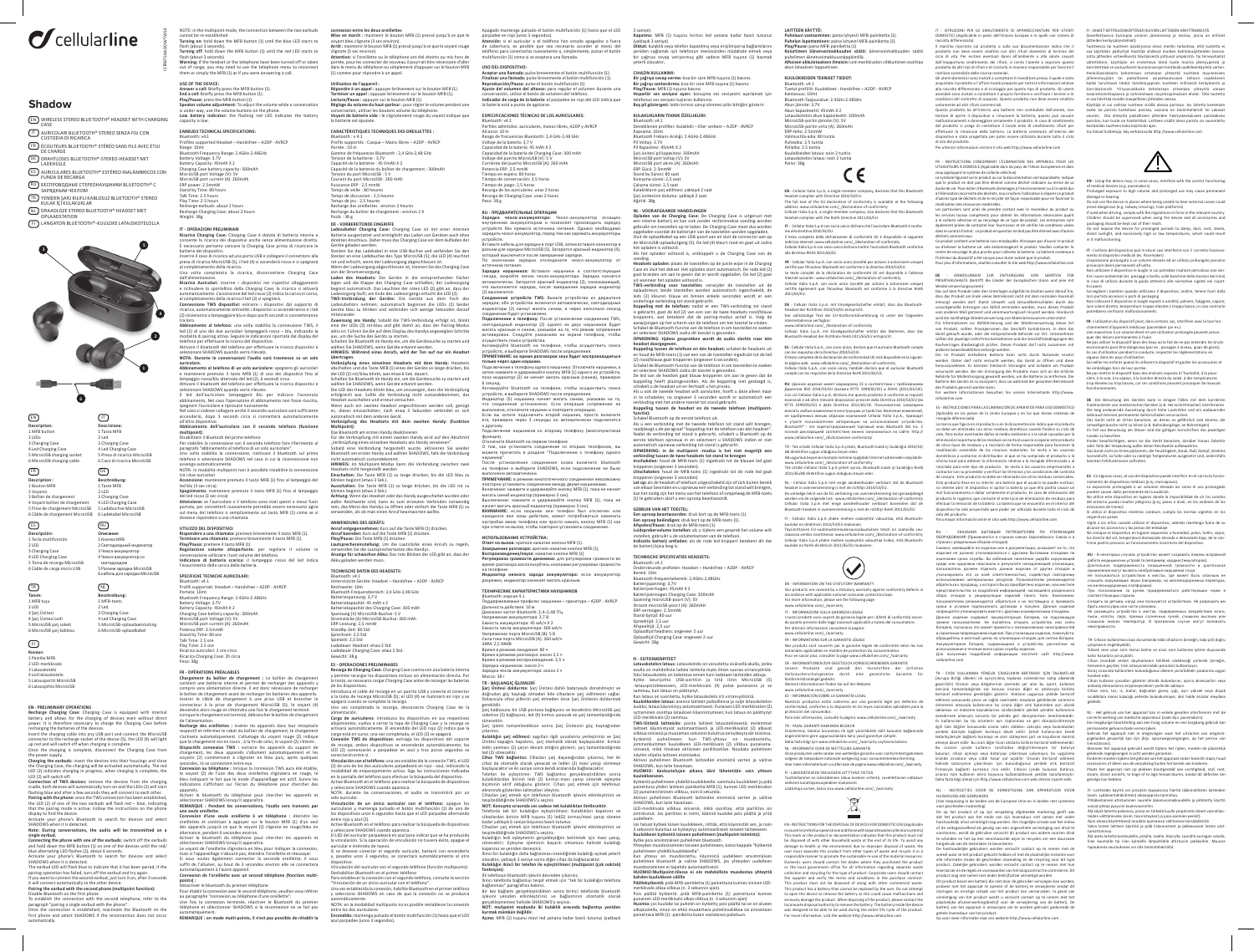ISTRBTSHADOWTWSK

**EARBUDS TECHNICAL SPECIFICATIONS:**<br>Bluetooth: v4.1<br>Profiles supported Headset – Handsfree – A2DP - AVRCP Bluetooth: v4.1<br>
Bluetooth: v4.1<br>
Profiles supported Headset – Handsfree – A2DP - AVRCP<br>
Reprise: 10m<br>
Bluetooth Frequency Range: 2.4GHz-2.48GHz<br>
Battery Voltage: 3.7V<br>
Battery Gapacity: 45mAh X<br>
MicroUSB port current (A):

# I**T - OPERAZIONI PRELIMINARI**<br>**Ricarica Charging Case:** Charging Case è dotata di batteria interna e<br>consente la ricarica dei dispositivi anche senza alimentazione diretta.<br>È necessario pertanto caricare la Charging Case p

**6 Description:<br>1 MFB** button<br>2 LEDs<br>3 Charging Case<br>4 Led Charging Case EN **Descrizione:** 1 Tasto MFB  $\qquad \qquad \Box$ 

# $\sigma$ cellularline

## **Shadow**



**Connection of TWS devices:** remove the devices from the charging cradle, both devices will automatically turn on and the LEDs (2) will start<br>flashing blue and after a few seconds they will connect to each other.<br>**Pairing with the phone:** once the TWS connection has been established,

the LED (2) of one of the two earbuds will flash red – blue, indicating that the pairing mode is active. Follow the instructions on the phone display to find the device.<br>Activate your phone's Bluetooth to search for devices and select<br>SHADOWS when it is detected.<br>**Note: During conversations, the audio will be transmitted on a** 

si**ngle earbud.**<br>C**onnecting the phone with one of the earbuds**: switch off the earbuds<br>and hold down the MFB button (1) on one of the devices until the red/<br>blue alternating LED flashes (2), about 6 seconds.<br>Activate your

The earbud LED will flash blue to indicate that it has been paired, if the<br>pairing operation has failed, turn off the earbud and try again.<br>If you want to connect the second earbud, just turn it on, after 3 seconds

**USE OF THE DEVICE: Answer a call:** Briefly press the MFB button (1). **End a call:** Briefly press the MFB button (1). **Play/Pause:** press the MFB button (1) **Speaker volume adjustment:** To adjust the volume while a conversation<br>is under way, use the volume buttons on the phone.<br>Low battery indicator: the flashing red LED indicates the battery<br>capacity is low.

**EN** - Cellular Italia S.p.A, a single-member company, declares that this Bluetooth headset complies with Directive 2014/53/EU. The full text of the EU declaration of conformity is available at the following<br>address: www.cellularline.com/\_/declaration-of-conformity<br>Cellular Italia S.p.A, a single-member company, also declares that this Bluetooth<br>he

CE

it will connect automatically to the other device. **Pairing the earbud with the second phone (multipoint function):**

Disable Bluetooth on the first phone<br>To establish the connection with the second telephone, refer to the<br>paragraph "pairing a single earbud with the phone".<br>Once the connection is established, reactivate the Bluetooth on t

NOTE: in the multipoint mode, the connection between the two earbuds cannot be re-established **Turning on:** hold down the MFB button (1) until the blue LED starts to flash (about 3 seconds). **Turning off:** hold down the MFB button (1) until the red LED starts to

flash (about 3 seconds) **Warning:** if the headset or the telephone have been turned off or taken out of range, you may need to use the telephone menu to reconnect them or simply the MFB (1) as if you were answering a call.

**EN** - Using the device may, in some cases, interfere with the correct functioning of medical devices (e.g. pacemakers).

Prolonged exposure to high volume and prolonged use may cause permanent<br>damage to hearing.<br>Do not use the device in places where being unable to hear external noises could<br>prove dangerous (e.g. railway crossings, train pla

IT - L'utilizzo del dispositivo può in alcuni casi interferire con il corretto funziona-<br>mento di dispositivi medicali (es. Pacemaker)<br>L'esposizione prolungata a un volume elevato ed un utilizzo prolungato possono<br>provocar

Non utilizzare il dispositivo in luoghi in cui potrebbe risultare pericoloso non sen-<br>tire i suoni ambientali (es. passaggi a livello, sulle banchine delle stazioni dei treni)<br>In caso di utilizzo durante la guida attenersi sı<br>iare i bambini quando utilizzano il dispositivo, inoltre, tenere fuori dalla

Sorvegliare i bambini quando utilizzano il dispositivo, inoltre, tenere fuori dalla<br>loro portata accessori o parti di packaging<br>Non collocare il dispositivo in luoghi esposti a umidità, polvere, fuliggine, vapore,<br>luce sol

Bluetooth: v4.1 Profili supportati: Headset – Handsfree – A2DP - AVRCP Portata: 10mt Bluetooth Frequency Range: 2.4GHz-2.48GHz Battery Voltage: 3.7V Battery Capacity: 45mAh X<br>Charging Case battery capacity: 300mAh<br>MicroUSB port Voltage (V): 5V<br>MicroUSB port current (A): 260mAh<br>Potenza ERP: 2.5 nre<br>Stand by Time: 8.5 ore<br>Flat Time: 2.5 ore<br>Ricarica auricolari: 2 ore cir

**FR-OPERATIONS PRÉALABLES<br>Chargement du boîtier de chargement : Le boîtier de chargement<br>contient une batterie interne et permet de recharger des appareils y<br>compris sans alimentation directe. Il est donc nécessaire de rec** Insérer le câble de chargement à une prise USB et brancher le<br>connecteur à la prise de chargement MicroUSB (5), le voyant (4)<br>deviendra alors rouge et s'éteindra une fois le chargement terminé.<br>Lorsque le chargement est te

de l'alimentation.<br>Recharge des oreillettes : insérer les appareils dans leur réceptacle<br>Recharge des oreillettes : insérer les appareils dans leur réceptance<br>S'activera automatiquement. L'allumage du voyant rouge (2) indi

appareils.<br>Activer le bluetooth du téléphone pour chercher les appareils et<br>Sélectionnes FHADOWS lorsqu'il apparaîtra.<br>**REMARQUE : Pendant les conversations, l'audio sera transmis par<br>une seule orellette.<br>Connexion d'une s** 

EN - INSTRUCTIONS FOR THE DISPOSAL OF DEVICES FOR DOMESTIC USE (Applicable in countries in the European Union and those with separate waste collection systems) This mark on the product or documentation indicates that this product must no be disposed of with other household waste at the end of its life. To avoid any<br>damage to health or the environment due to improper disposal of waste, the<br>user must separate this product from other types of waste and recycl responsible manner to promote the sustainable re-use of the material resources.<br>Domestic users should contact the dealer where they purchased the product<br>or the local government office for all information regarding separat collection and recycling for this type of product. Corporate users should contact<br>the supplier and verify the terms and conditions in the purchase contract.<br>This product must not be disposed of along with other commercial This product has a battery than cannot be replaced by the user. Do not attempt<br>to open the device to remove the battery as this could cause malfunctions and<br>seriously damage the product. When disposing of the product, plea local waste disposal authority to remove the battery. The battery inside the device was designed to be able to be used during the entire life cycle of the product. For more information, visit the website http://www.cellularline.com

 $\cancel{\mathbb{X}}$ 

FR - INSTRUCTIONS CONCERNANT L'ELIMINATION DES APPAREILS POUR LES<br>CEUX ENTREMENTONS CONCERNANT L'ELIMINATION DES APPAREILS POUR LES<br>Les mapliquant le système de collecte sélective)<br>Les mapliquant les systèmes de collectes

Ce produit contient une batterie non remplaçable. N'essayez pas d'ouvrir le produit<br>ou d'enlever la batterie car cela endommagerait le produit. Veuillez contacter le<br>centre de recyclage le plus proche pour collecter la bat

batterie dei dispositivi. Inserire il cavo di ricarica ad una porta USB e collegare il connettore alla presa di ricarica MicroUSB (5), il led (4) si accenderà rosso e si spegnerà al completamento della ricarica. Una volta completata la ricarica, disconnettere Charging Case

dall'alimentazione.<br>**Ricarica Auricolari:** inserire i dispositivi nei rispettivi alloggiamenti<br>e richiudere lo sportellino della Charging Case, la ricarica si attiverà

automaticamente. L'accensione del led rosso (2) indica la carica in corso,<br>al completamento della ricarica il led (2) si spegnerà.<br>**Connessione TWS dispositiv**i: estrarre i dispositivi dal supporto di<br>ricarica, automaticam

traloro.<br>A**bbinamento al telefono:** una volta stabilita la connessione TWS, il<br>led (2) di uno dei due auricolari lampeggerà rosso — blu, indicando la<br>modalità di pairing attiva. Seguire le indicazioni riportate dal display

Bluetooth: w.1.<br>Christopher Cerate: Headset – Handsfree – A2DP - AVRCP<br>Reichwelte: 10m<br>Bluetooth Frequenzbereich: 2,4 GHz-2,48 GHz<br>Batteriespannung: 3,7 V<br>Batteriespannung: 3,7 V<br>batteriespannung: 3,7 Sm<br>Datteriespannung: Sprechzeit: 2,5 Std Spielzeit: 2,5 Std

selezionare SHADOWS quando verrà rilevato. **NOTA: Durante le conversazioni l'audio sarà trasmesso su un solo** 

auricolare.<br>Abihamento al telefono di un solo auricolare: spegnere gli auricolari<br>Abihamento al telefono di un solo auricolare: spegnere gli auricolari<br>lampeggio rosso/blu alternato del led (2), 6 secondi circa.<br>Attivare i

all'altro dispositivo. **Abbinamento dell'auricolare con il secondo telefono (funzione** 

**multipoint):**<br>Disabilitare il bluetooh del primo telefono<br>Per stabilitare la connessione con il secondo telefono fare riferimento al<br>paragrafo "abbinamento al telefono di un solo auricolare".<br>Una volta stabilita la connes

4 Lea Cnarging Case<br>5 MicroUSB charging so 6 MicroUSB charging 2 Led 3 Charging Case 4 Led Charging Case 5 Presa di ricarica MicroUSB 6 Cavo di ricarica MicroUSB

avvenga automaticamente. NOTA: in modalità multipoint non è possibile ristabilire la connessione tra i due auricolari

**Accensione:** mantenere premuto il tasto MFB (1) fino al lampeggio del led blu (3 sec circa). **Spegnimento:** mantenere premuto il tasto MFB (1) fino al lampeggio

del led rosso (3 sec circa)<br>**Attenzione:** se l'auricolare o il telefono sono stati spenti o messi fuori<br>portata, per connetterli nuovamente potrebbe essere necessario agire<br>sul menu del telefono o semplicemente sul tasto M

UTILIZZO DEL DISPOSITIVO:<br>Rispondere a una chiamata: premere brevemente il tasto MFB (1).<br>Terminare una chiamata: premere brevemente il tasto MFB (1).<br>Play/Pausa: premere il tasto MFB (1).<br>Regolazione volume altoparlante: ento della carica della bat

**FR**- L'utilisation du dispositif peut, dans certains cas, interférer avec le bon fonnent d'appareils médicaux (pacemaker par ex.).<br>osition à un volume élevé et une utilisation prolongée peuvent provo-

Une exposition à un volume élevé et une utilisation prolongée peuvent provo-<br>Quer des lésions permanentes à l'ouïe.<br>Ne pas utiliser le dispositif dans des lieux où le fait de ne pas entendre les bruits<br>environnants peut êt

## **SPECIFICHE TECNICHE AURICOLARI:**

Surveiller les enfants quand ils utilisent le dispositif et garder les accessoires et<br>les emballages hors de leur portée.<br>Ne pas mettre le dispositif dans des endroits exposés à l'humidité, à la pous-<br>sière, à la suie, à l fonctionnements.

DE -Die Benutzung des Gerätes kann in einigen Fällen mit dem korrekten mit dem korrekten mit dem korrekten mit<br>Eunktionieren von medizinischen Geräten (z.B. Herzschrittmacher) interfer Funktionieren von medizinischen Geräten (z.B. Herzschrittmacher) interferieren<br>Die lang andauernde Aussetzung durch hohe Lautstärke und ein andauernder<br>Gebrauch können permanente Gehörschäden verursachen.<br>Das Gerät nicht a

**DE - VORBEREITENDE EINGRIFFE Ladezubehör Charging Case:** Charging Case ist mit einer internen

Batterie ausgestattet und ermöglicht das Laden von Geräten auch ohne<br>direkten Anschluss. Daher muss das Charging Case vor dem Aufladen der<br>Stecken Sie das Ladekabel in eine USB-Buchse und verbinden Sie den<br>Stecker Sie das

von der Stromversorgung.<br>Laden des Headsets: Die Geräte in die entsprechenden Fächer Laden des Headsets: Die Greräte in die entsprechenden Facher<br>legen und die Klappe des Charging Case schließen; der Ladevorgang<br>legen und die Klappe des Charging Case schließen; der Ladevorgang<br>ladevorgang läuft; am Ende de

**connexion entre les deux oreillettes**<br>Mise en march : maintenir le bouton MFB (1) pressé jusqu'à ce que le<br>voyant bleu clignote (3 sec environ).<br><mark>Arrêt :</mark> maintenir le bouton MFB (1) pressé jusqu'à ce que le voyant rouge clignote (3 sec environ) **Attention:** si l'oreillette ou le téléphone ont été éteints ou mis hors de Apagado mantenga pulsado el botón multifunción (1) hasta que el LED<br>parpadee en rojo (unos 3 segundos).<br>**Atención:** si el auricular o el teléfono han estado apagados o fuera<br>de cobertura, es posible que sea necesario acced teléfono para conectarlos nuevamente o, simplemente, pulsar el botón multifunción (1) como si se aceptara una llamada. **USO DEL DISPOSITIVO: Aceptar una llamada:** pulse brevemente el botón multifunción (1). **Finalizar una llamada:** pulse brevemente el botón multifunción (1).<br>**Reproducción/Pausa:** pulse el botón multifunción (1)<br>**Ajuste del volumen del altavoz:** para regular el volumen durante una conversación, utilice el botón de volumen del teléfono.<br>**Indicador de carga de la batería**: el parpadeo en rojo del LED indica que<br>la batería está a punto de agotarse.

ESPICIFICACIONES TECNICAS DE LOS AURICULARES:<br>Biuetorofi: via.1<br>Biuetorofi: via.1<br>Alcance : 10 m<br>Alcance : 10 m<br>Alcance : 10 m<br>Alcance : 10 m<br>Capacidade is bateria: 3,7 v<br>Capacidade is bateria: 45<br>Capacidade is bateria: 45

**RU -ПРЕДВАРИТЕЛЬНЫЕ ОПЕРАЦИИ**<br>**Зарядка - чехла-аккумулятора: -** Чехол-аккумулятор - оснащен<br>внутренним аккумулятором и позволяет производить зарядку<br>устройств бехол-аккумулятор, перед тем как заряжать аккумуляторы<br>заряди устройств. Вставьте кабель для зарядки в порт USB, затем вставьте коннектор в разъем для зарядки MicroUSB (5). Загорится красный индикатор (4), который выключится после завершения зарядки. По окончании зарядки отсоедините чехол-аккумулятор от источника питания. **Зарядка наушников:** Вставьте наушники в соответствующие гнезда, закройте лючок чехла-аккумулятора. Зарядка начнется<br>автоматически.Загорится красный индикатор (2), показывающий,<br>что выполняется зарядка, после завершения зарядки индикатор (2) выключится. **Соединение устройств TWS:** Выньте устройства из держателя зарядки; оба устройства включатся автоматически, светодиодные<br>индикаторы (2) начнут мигать синим, и через несколько секунд<br>соединение будет установлено.<br>**Подключение к телефону:** После установления соединения TWS, светодиодный индикатор (2) одного из двух наушников будет<br>мигать красным и синим, указывая на то, что режим сопряжения<br>активирован. Следуйте указаниям на экране телефона, чтобы осуществить поиск устройства. Активируйте bluetooth на телефоне, чтобы осуществить поиск устройств, и выберите SHADOWS после определения.<br>**ПРИМЕЧАНИЕ: во время разговоров звук будет воспроизводиться**<br>**только через один наушник.**<br>Подключение к телефону одного наушника. Отключите наушники, а затем нажмите и удерживайте кнопку MFB (1) одного из устройств,<br>пока индикатор (2) не начнет мигать красным (синим), примерно

.<br>vйте bluetooth на телефоне, чтобы осуществить поиск устройств, и выберите SHADOWS после определения.<br>Индикатор (5) наушника начнет мигать синим, указывая на то,<br>что соединение установлено. Если операция сопряжения не выполнена, отключите наушник и повторите операцию. Если вы хотите подключить второй наушник, просто включите его, примерно через 3 секунды он автоматически подключится к другому. Подключение наушников ко второму телефону (многопунктовая функция). Отключите bluetooth на первом телефоне О том, как установить соединение со вторым телефоном, вы можете прочитать в разделе "Подключение к телефону одного наушника". После установления соединения снова включите bluetooth на телефоне и выберите SHADOWS, если подключение не было нено автоматически.<br>**ЕЧАНИЕ:** в режиме многоточечного соединения нев<br>NIA източавить соодинение машем врима начинина

ПРИМЕЧАНИЕ: в режиме многоточечного соединения невозможноком<br>повторно установить соединение между двумя наушниками.<br>Включение: нажмите и удерживайте кнопку MFB (1), пока не начнет<br>Выключение: нажмите и удерживайте кнопку

ИСПОЛЬЗОВАНИЕ УСТРОИСТВА:<br>Ответ на вызов: краткое нажатие кнопки МГВ (1).<br>Завершение разговора: краткое нажатие кнопки МГВ (1)<br>Воспроизвадение/пауза: нажатие кнопки МГВ (1)<br>Регимроактовора воспользуйтесь кнопками регулиро

на телефоне.<br>**Индикатор низкого заряда аккумулятора:** если аккумулятор<br>разряжен, индикатор начинает мигать красным.

**CARACTÉRISTIQUES TECHNIQUES DES OREILLETTES :** Bluetooth : v 4.1<br>Profils supportés : Casque – Mains libres – A2DP - AVRCP<br>Porfils supportés : Casque – Mainton in 2.4 GHz-2,48 GHz<br>Gamene de In deuterie : 3.7V<br>Capacité de la batterie : 45 VmAh X 2<br>Capacité de la batterie Recharge du boîtier de chargement : environ 2 h Poids : 38 g TRIDEN SARIKLIEN KABLOSUZ BLUETOOTH® STEREO Phylimese 2.5 hours that the stering the stering the stering of the stering the stering over the stering the stering of the stering of the stering of the stering of the stering

miteinander. **Zuweisung ans Handy:** Sobald die TWS-Verbindung erfolgt ist, blinkt

eine der LEDs (2) rot-blau und gibt damit an, dass der Pairing-Modus<br>aktiv ist. Führen Sie die auf dem Display des Handys angezeigten Schritte<br>aus, um die Suche des Geräts zu starten.

Schalten Sie Bluetooth im Handy ein, um die Gerätesuche zu starten und<br>wählen Sie Bluetooth im Handy ein, um die Geräte erkannt werden.<br>**HINVEIS: Während eines Anrufs, wird der Ton auf nur ein Headset**<br>We**rkrüpfung eines e** 

wählen Sie SHADOWS, wenn Geräte erkannt werden.<br>Die LED des Headsets blinkt blau, um anzuzeigen, dass die Verknüpfung<br>erfolgreich war. Sollte die Verbindung nicht zustandekommen, das

mais si l'appareillage n'aboutit pas, éteindre l'oreillette et réessayer.<br>Si vous voulez également connecter la seconde oreillette, il vous<br>suffit de l'allumer, au bout de 3 secondes environ elle se connectera automatiquement à l'autre appareil. **Connexion de l'oreillette avec un second téléphone (fonction multi-points) :**

:<br>/er le bluetooth du premier téléphone

automatisch mit dem anderen Gerät. **Verknüpfung des Headsets mit dem zweiten Handy: (Funktion Multipoint):**

Das Bluetooth am ersten Handy deaktivieren<br>Für die Verknüpfung mit einem zweiten Handy wird auf den Abschnitt<br>"Verknüpfung eines einzelnen Headsets ans Handy verwiesen".

Sobald eine Verbindung hergestellt wurde, aktivieren Sie wieder Bluetooth am ersten Handy und wählen SHADOWS, falls die Verbindung

nicht automatisch zustandekommt.<br>**HINWEIS:** Im Multipoint-Modus kann die Verbindung zwischen zwei<br>He**adsets** nicht hergestellt werden<br>**Einschalten:** Die Taste MFB (1) so lange drücken, bis die LED blau zu

**ANWEISUNGEN ZUR ENTSORGUNG VON GERÄTEN FÜR** PRIVATHAUSHALTE (Betrifft die Länder der Europäischen Union und jene mit

blinken beginnt (etwa 3 Sek.). **Ausschalten:** Die Taste MFB (1) so lange drücken, bis die LED rot zu

blinken beginnt (etwa 3 Sek.)<br>Achtung: Wenn das Headset oder das Handy ausgeschaltet wurden oder<br>außer Reichweite sind, kann es zum erneuten Verbinden notwendig<br>sein, das Menü des Handys zu öffnen oder einfach die Taste MF

ANWENDUNG OES GERATS:<br>Anruf entgegennehmen: Kurz auf die Taste MFB (1) drücken.<br>Anruf beenden: Kurz auf die Taste MFB (1) drücken.<br>Play/Pause: Die Taste MFB (1) drücken<br>Lautsprechereinstellung: Um die Lautstärke eines Anru

Wiederverwertungssystem)<br>Das auf dem Produkt oder den Unterlagen aufgeführte Zeichen weist darauf hin,<br>dass das Produkt am Ende seiner Betriebszeit nicht mit dem normalen Hausmüll entsorgt werden darf. Damit Umwelt- und Gesundheitsschäden durch das unsachgemäße Entsorgen von Abfall vermieden werden, muss dieses Produkt

vom anderen Mülli getermit nud verantwortungsvoll respectiverden. Hierdurch<br>wird die nachhaltige Wiederverwertung von Materialessourcen unterstütt.<br>Trär informationen zur Arbillittennung und die Wiederverwertung dieser Art

Batterie des Geräts ist so konzipiert, dass sie während der gesamten Betriebszeit<br>des Produkts genutzt werden kann.<br>Für weitere Informationen besuchen Sie unsere Internetseite http://www.

## **TECHNISCHE DATEN DES HEADSETS:**

Landes zu beachten Kinder beaufsichtigen, wenn sie das Gerät benutzen, darüber hinaus Zubehör oder Teile der Verpackung außer deren Reichweite aufbewahren.<br>Das Gerät nicht an Orten platzieren, die Feuchtigkeit, Staub, Pauß, Dampf, direktes<br>Sonnenlicht, zu hohe oder zu niedrige Temperaturen ausgesetzt sind, andernfa könnten Fehlfunktionen auftrete

# Ladedauer Headset: etwa 2 Std Ladedauer Charging Case: etwa 2 Std. Gewicht: 38 g

**ES - OPERACIONES PRELIMINARES**<br>**Recarga de Charging Cas**e: Charging Case cuenta con una batería interna<br>y permite recargar los dispositivos incluso sin alimentación directa. Por<br>lo tanto, es necesario cargar Charging Case

**IT** - Cellular Italia S.p.A con socio unico dichiara che l'auricolare Bluetooth è conforme alla direttiva 2014/53/EU. Il testo completo della dichiarazione di conformità UE è disponibile al seguente indirizzo Internet: www.cellularline.com/\_/declaration-of-conformity Cellular Italia S.p.A con socio unico dichiara inoltre l'auricolare Bluetooth conforme

FR - Cellular Italia S.p.A. con socio unico (socioète par actions à actionnaire unique)<br>rertifie que l'écouteur Bluetooth est conforme à la directive 2014/53/EU.<br>Le texte complet de la déclaration de conformité UE est disp

DE - Cellular Italia S.p.A. mit Einzelgesellschafter erklärt, dass das Bluetooth-<br>Headset der Richtlinie 2014/53/EU entspricht.<br>Der vollständige Text der EU-Konformitätserklärung ist unter der folgenden<br>Internetadesse verf

plicable en los países de la Unión Europea y en los que tienen sistemas de recogida diferenciada) La marca que figura en el producto o en la documentación indica que el producto

alla direttiva ROHS 2011/65/EC.

IT - ISTRUZIONI PER LO SMALTIMENTO DI APPARECCHIATURE PER UTENTI DOMESTICI (Applicabile in paesi dell'Unione Europea e in quelli con sistemi di

raccolta differenziata)<br>Il marchio riportato sul prodotto o sulla sua documentazione indica che il<br>prodotto non deve essere smaltito con altri rifiuti domestici al termine del<br>ciclo di vita. Per evitare eventuali danni all

riutilizro sostenibile delle risorse materiali.<br>Gili utenti domestici sono invitati a contattare il rivenditore presso il quale e stato<br>acquistato il prodotto o l'ufficio locale preposto per tutte le informazioni relative<br>

unitamente ad altri rifuti commerciali.<br>Questo prodotto ha all'interno una batteria non sostituibile dall'utente, non<br>tentere di aprire il dispositivo o rimovere la batteria, questo può causare<br>malfunzionamenti e danneggia

ES - En algunos casos, el uso del dispositivo puede interferir en el correcto funcio-<br>namiento de dispositivos médicos (p.ej. marcapasos).<br>La exposición prolongada a un volumen elevado así como el uso prolongado<br>pueden cau del entorno pueda resultar peligroso (p.ej, pasos a nivel, en los andenes de las estaciones de trenes) Si utiliza el dispositivo mientras conduce, cumpla las normas vigentes en los

conectarán entre sí.<br>**Vinculación con el teléfono:** una vez establecida la conexión TWS, el LED<br>(2) de uno de los dos auriculares parpadeará en rojo - azul, indicando la modalidad de emparejamiento activa. Siga las instrucciones indicadas en la pantalla del teléfono para efectuar la búsqueda del dispositivo.

solo auricular.<br>**Vinculación de un único auricular con el teléfono:** apague los<br>auriculares y mantenga pulsado el botón multifunción (1) de uno de<br>los dispositivos unos 6 segundos hasta que el LED parpadee alternando entre rojo y azul (2).

, مدة ربي.<br>etooth en el teléfono para realizar la búsqueda de dispositivos<br>le SHADOWS cuando anarezca y seleccione SHADOWS cuando aparezca. El LED del auricular parpadeará en azul para indicar que se ha producido la vinculación. Si la operación de vinculación no tuviera éxito, apague el

auricular e inténtelo de nuevo. Si se desease conectar el segundo auricular, bastará con encenderlo y, pasados unos 3 segundos, se conectará automáticamente al otro dispositivo. vositivo:<br>culación del auricular con el segundo teléfono (función multipunto): Deshabilitar Bluetooth en el primer teléfono<br>Para establecer la conexión con el segundo teléfono, consulte la sección<br>"Vinculación de un único auricular con el teléfono". Una vez establecida la conexión, habilite Bluetooth en el primer teléfono y seleccione SHADOWS en caso de que la conexión no se produzca automáticamente. NOTA: en la modalidad multipunto no es posible restablecer la conexión entre los dos auriculares<br>**Encendido:** mantenga pulsado el botón multifunción (1) hasta que el LED<br>azul parpadee (unos 3 segundos). **RU** - В некоторых случаях устройство может создавать помехи исправной работе медицинских устройств (например, кардиостимуляторов).<br>Длительная подверженность повышенной громмости и длительное<br>применение могут вызвать необратимые нарушения слуха.<br>Не пользоваться устройством в местах, где може

FR - INFORMATIONS SUR LA GARANTIE LÉGALE

Nos produits sont couverts par la garantie légale de conformité selon les lois

nationales applicables en matière de protection du consommateur.<br>Pour en savoir plus, consulter la page www.cellularline.com/\_/warranty<br>DE - INFORMATIONEN ZUR GESTZLICH VORGESCHRIEBENEN GARANTIE<br>Unsere – Produkte sind - ge

Nuestros productos están cubiertos por una garantía legal por defectos de<br>conformidad, conforme a lo dispuesto en las leyes nacionales aplicables para la<br>protección del consumidor.<br>Para más información, consulte la página:

**Description :** 1 Bouton MFB 2 Voyants 3 Boîtier de chargement 4 Voyant boîtier de chargement FR

portée, pour les connecter de nouveau il pourrait être nécessaire d'aller dans le menu du téléphone ou simplement d'appuyer sur le bouton MFB (1) comme pour répondre à un appel.

**Descripción:<br>1 Tecla multifunción<br>2 LED<br>3 Charging Case<br>4 LED Charging Case** 4 LED Charging Case<br>5 Toma de recarga Mic 6 Cable de carga mi **Описание:**<br>1 Кнопка MFB<br>2 Светодиодный индикатор<br>3 Чехол-аккумулятор 4 Чехол-аккумулятор со светодиодом 5 Разъем зарядки MicroUSB 6 кабель для зарядки MicroUSB **Utilisation de l'appareil : Répondre à un appel :** appuyer brièvement sur le bouton MFB (1). **Terminer un appel :** appuyer brièvement sur le bouton MFB (1).<br>**Lecture/Pause : appuyer sur le bouton MF**B (1)<br>**Réglage du volume du haut-parleur :** pour régler le volume pendant une<br>conversation, utiliser les boutons vol **Voyant de batterie vide :** le clignotement rouge du voyant indique que la batterie est épuisée.

TR - Tek ortaklı Cellular Italia S.p.A şirketi, Bluetooth kulak içi kulaklığın 2014/53/ A8 direktifine uygun olduğunu beyan eder.<br>A8 uygunluk beyannını komple metnine aşağıdaki İnternet adresinden ulaşılabilir:<br>www.cellularline.com/\_/declaration-of-conformity<br>Tek ortaklı Cellular Italia S.p.A şirketi ayrıca,

NL - Cellular Italia S.p.A met enige aandeelhouder verklaart dat de Bluetooth<br>headset in overeenstemming is met de richtlijn 2014/53/EU.<br>De volledige tekst van de EU verklaring van overeenstemming kan geraadpleegd worden via de volgende link: www.cellularline.com/\_/declaration-of-conformity<br>Cellular Italia S.p.A met enige aandeelhouder verklaart bovendien dat de<br>Bluetooth headset in overeenstemming is met de richtlijn RoHS

**Tanım:** 1 MFB tuşu 2 LED  $TR$   $NL$ 

> ekranında gösterilen talimatları izleyiniz.<br>tespitedildiğinde SHADOWS'u seçiniz.<br>tespitedildiğinde SHADOWS'u seçiniz.<br>**NOT: Konuşma sırasında ses sadece tek kulaklıktan iletilecektir.**<br>Telefonla tek bir kulakliğin eşleştir kadar yaklaşık 6 saniye boyunca basılı tutunuz. Cihazları şarj etmek için telefonun bluetooth işlevini etkinleştiriniz ve tespitedildiğinde SHADOWS'u seçiniz.<br>Kulaklığın ledi eşleşmenin gerçekleştiğini belirtmek için mavi yanıp,<br>sönecektir; Eşleşme işleminin başarılı olmaması halinde kulaklığı<br>kapatınız ve yeniden deneyiniz. İkinci bir kulaklığın daha bağlanması istendiğinde kulaklığı açmak yeterli<br>olacaktır, yaklaşık 3 saniye sonra diğer cihaz da bağlanacaktır.<br>**Kulaklığın ikinci bir telefon ile eşleştirilmesi (multipoint (çok noktalı) fonksiyon):**<br>İlk telefonun bluetooth işlevini devreden çıkarınız.<br>İkinci telefonla bağlantıyı tespit etmek için "tek bir kulaklığın telefona bağlanması" paragrafına bakınız.<br>Bir kez bağlantı gerçekleştirdikten sonra birinci telefonda bluetooth<br>işlevini yeniden etkinleştiriniz ve bağlantının otomatik olarak gerçekleşmemesi halinde SHADOWS'u seçiniz. **NOT: mutipoint modunda iki kulaklık arasında bağlantıyı yeniden kurmak mümkün değildir. Açma:** MFB (1) tuşunu mavi led yanana kadar basılı tutunuz (yaklaşık

3 saniye).<br>**Kapatma:** MFB (1) tuşunu kırmızı led yanana kadar basılı tutunuz<br>(yaklaşık 3 saniye) **Dikkat:** kulaklık veya telefon kapatılmış veya erişilmiyorsa bağlantılarını yeniden sağlamak için telefonun menüsünden müdahale etmek veya bir çağrıya cevap veriyormuş gibi sadece MFB tuşuna (1) basmak

CHHAZIN KULLANIMI:<br>Birçağrıya cevap verme: kısa bir süre MFB tuşuna (1) basınız.<br>Birçağrıyı sonlandırma: kısa bir süre MFB tuşuna (1) basınız<br>Play/Pause: MFB (1) tuşuna basınız<br>telefonun ses seviyesi ayarı: konuşma ses sev

ı<br>rofiller: Kulaklıklı – Eller serbest – A2DP - AVRCP

**NL-VOORAFGANDE HANDELINGEN**<br>Copieden van de Charging Case: De Charging Case is uitgerust met<br>een interne batterij en kan ook zonder rechtstreekse voeding worden<br>gebruikt om toestellen op te laden. De Charging Case moet du

voeding.<br>Readests opladen: plaats de toestellen op de juiste wijze in de Charging<br>Case en sluit het deksel. Het opladen start automatisch. De rode led (2)<br>gaat branden om aan te geven dat er wordt opgeladen. De led (2) gaa

onderlinge verbinding tot stand gebracht.<br>
Sopeling met de telefoon: nadat er een TWS-verbinding tot stand<br>
Is gebracht, gaat de leid (2) van een van de twee headsets rood/blauw<br>
knipperen, wat betekent dat de pairing-modu

Koppeling tussen de telefoon en één headset: schake de headsets cirk<br>en houd de MFB-toets (1) van een van de toestsellen ingedrukt tot de led<br>Schakel de Bluetooth-functie van de telefoon in om toestellen te zoeken<br>Schakel

uncue).<br>Schakel Bluetooth op de eerste telefoon uit.<br>Als u een verbinding met de tweede telefoon tot stand wilt brengen Als u een verbinding met de tweede telefoon tot stand wilt brengen,<br>raadpleegt u de paragraaf "Koppeling met de telefoon van één headset".<br>Nadat de verbinding tot stand is gebracht, schakelt u Bluetooth op de<br>extert teléfo **Inschakelen:** houd de MFB-toets (1) ingedrukt tot de blauwe led gaat knipperen (ongeveer 3 seconden). **Uitschakelen:** houd de MFB-toets (1) ingedrukt tot de rode led gaat knipperen (ongeveer 3 seconden)<br>**Let op:** als de headset of telefoon uitgeschakeld zijn of zich buiten bereik<br>van elkaar bevinden en u opnieuw een verbinding tot stand wilt brengen,<br>kan het nodig zijn het menu van het tele

Pour établir la connexion avec le second téléphone, veuillez-vous référer au paragraphe "connexion au téléphone d'une oreillette". Une fois la connexion terminée, réactiver le Bluetooth du premier téléphone et sélectionner SHADOWS si la reconnexion ne se fait pas automatiquement. **REMARQUE : en mode multi-points, il n'est pas possible de rétablir la** 

**Beschreibung:** 1 Taste MFB

DE

www.cellularline.com/\_/warranty ES - INFORMACIÓN SOBRE LA GARANTÍA LEGAL

(1) te gebruiken alsof u een oproep beantwoord **GEBRUIK VAN HET TOESTEL:** 

**Een oproep beantwoorden**: druk kort op de MFB-toets (1). **Een oproep beëindigen:** druk kort op de MFB-toets (1). **Afspelen/Pauze:** druk op de MFB-toets (1) **Luidsprekervolume instellen:** als u tijdens een gesprek het volume wilt<br>instellen, gebruikt u de volumetoetsen van de telefoon.<br>I**ndicatie batterij ontladen:** als de rode led knippert betekent dit dat

**TECHNISCHE SPECIFICATIES HEADSETS:<br>Bluetooth: v4.1<br>Ondersteunde profielen: Headset – Handsfree – A2DP - AVRCP<br>Bereik: 10m** 

Fi-ESITOMENPITEET:<br>Latauskotelon lataus: Latauskotelo on varustettu sisäisellä akulla, jonka<br>sivilla on mahdollista ladata laitteita myös ilman suoraa virransyöttöä.<br>Siksi latauskotelo on ladattava ennen kuin ladataan lait

**ES** - Cellular Italia S.p.A., con socio único, declara que el auricular Bluetooth cumple con los requisitos de la Directiva 2014/53/UE.<br>El texto completo de la declaración de conformidad UE está disponible en la siguien-<br>te página web: www.cellularline.com/\_/declaration-of-conformity Cellular Italia S.p.A., con socio único, también declara que el auricular Bluetooth cumple con los requisitos de la Directiva RoHS 2011/65/UE.

RU "Данное изделие имеет мариорову СЕ в сответствии с требованиями<br>Директив RED 2014/53/EU (взамен RTTE 1999/05/CE) и ROHS (2011/65/UE).<br>Con d'o Cellular Itälia S.p.A. dichiar a de questo prodoto è conforme ai requisit<br>e

ES - INSTRUCCIONES PARA LA ELIMINACIÓN DE APARATOS PARA USO DOMÉSTICO

FI- Laitteiden käyttö voi joissakin tapauksissa häiritä lääkinnällisten laitteiden (esim. sydämentahdistinten) oikeaoppista toimintaa. ämentahdistinten) oikeaoppista toimintaa.<br>inen altistuminen suurelle äänenvoimakkuudelle ja pitkitetty käyttö

teiden välttämiseksi (esim. tasoristeykset ja juna-asemien penkit).<br>Ajon aikana käytettäessä noudata ajomaassa vallitsevaa lainsäädäntöä<br>Valvo lasten laitteen käyttöä ja pidä lisävarusteet ja pakkausosat lasten ulottumattomissa

no debe ser eliminado con otros residuos dométicos cuando finalice su ciclo de vida. Para evitar eventuales daños al medio ambiente o a la salud causados por la eliminación innoportuna del os residuos se invita al usuario a separar este producto el existinación ino produ<br>el extras tipos de residuos y a reciclarlo de forma responsable para favorecer la<br>reutilización sostenible de l de compra. Este producto no debe ser eliminado con otros residuos comerciales.<br>Este producto lleva en su interior una batería que el usuario no puede sustituir,<br>no intente abrir el dispositivo ni quitar la batería ya que e vida del producto. Para mayor información visite el sitio web http://www.cellularline.com

kosteudelle, pölylle, noelle, höyrylle, suoralle auringon valolle liian kuumalle tai liian kylmälle lämpötilalle altistuviin paikkoihin. Muussa tapauksena seurauksena voi olla toimintahäiriöitä.

respectivos países Vigile a los niños cuando utilizan el dispositivo, además mantenga fuera de su

alcance los accesorios y las piezas del embalaje<br>No coloque el dispositivo en lugares expuestos a humedad, polvo, hollín, vapor,<br>luz directa del sol, temperatura demasiado elevada o demasiado baja; de lo con-<br>trario podría

**Kuvaus:** 1 Painike MFB 2 LED-merkkivalo  $\bigoplus$ 

- EN WIRELESS STEREO BLUETOOTH® HEADSET WITH CHARGING CASE
- IT AURICOLARI BLUETOOTH® STEREO SENZA FILI CON<br>CUSTODIA DI RICARICA
- ÉCOUTEURS BLUETOOTH® STÉRÉO SANS FILS AVEC ÉTUI FR
- DE CHARGE<br>DE ) DRAHTLOSES BLUETOOTH®-STEREO-HEADSET MIT<br>LADEHÜLLE
- ES ) AURICULARES BLUETOOTH® ESTÉREO INALÁMBRICOS CON<br>FUNDA DE RECARGA
- 
- RU ВЕСПРОВОДНЫЕ СТЕРЕОНАУШНИКИ BLUETOOTH® С<br>ЗАРЯДНЫМ ЧЕХЛОМ
- 
- NL J DRAADLOZE STEREO BLUETOOTH® HEADSET MET PLAADSTATION
- FI LANGATON BLUETOOTH®-KUULOKE LATAUSKOTELOLLA

5 Prise de chargement MicroUSB 6 Câble de chargement MicroUSB 6 Ladekabel MicroUSB 2 LED 3 Charging Case 4 LED Charging Case 5 Ladebuchse MicroUSB ES RU

> de los dispositivos. Introduzca el cable de recarga en un puerto USB y conecte el conector a la toma de recarga MicroUSB (5); el LED (4) se iluminará en rojo y se apagará cuando se complete la recarga. Una vez completada la recarga, desconecte Charging Case de la

alimentación.<br>**Carga de auriculares:** introduzca los dispositivos en sus respectivos<br>alojamientos, vuelva a cerrar la tapa de Charging Case y la recarga se

activará automáticamente. El encendido del LED rojo (2) indica que la<br>carga está en curso; una vez completada, el LED (2) se apagará.<br>**Conexión TWS de dispositivo**s: extraiga los dispositivos del soporte<br>de recarga; ambos

Active Bluetooth en el teléfono para realizar la búsqueda de dispositivos y seleccione SHADOWS cuando aparezca. NOTA: durante las conversaciones, el audio se transmitirá por un

При пользовании за рулем придерживаться действующих норм в

соответствующих странах.<br>Следить за детьми, когда они пользуются устройством. Не разрешать им<br>брать аксессуары или части упаковки.<br>Не размещать устройство в местах, подверженных воздействию влаги,<br>слишком инзиких температ

RU - УКАЗАНИЯ БЫТОВЫМ ПОТРЕБИТЕЛЯМ ПО УТИЛИЗАЦИИ ОБОРУДОВАНИЯ (Применяются в странах-членах Европейского Союза и в

странах с раздельным обором отходов) с разделениям, указывает на то, что<br>Символ, имеющийся на изделии кли в документации, указывает на то, что<br>символ, имеющийся на изделии кли в документации, указывает на тольком отходами

TR - EVDE KULLANINA YÖNELIK CIHAZLARIN BERTKARAFI (EN TALIMATLARI)<br>(Avrupa Birliği ülkeleri ile ayrıştırılmış toplama sistemlerine sahip ülkelerde<br>geçerildir) Ürünün veya belgelerinin üzerinde yer alan bu işaret, kullanımı iligili tüm biligiler konusunda ürünün silaktısı satıcıyla veyareleki daireyle bağlantı kurmaya davet edilir. Şirixtet kullanıcıları kendi<br>tedisrikçileriyle bağlantı kurmaya davet edilir. Şirixtet kullanıcıların kontrol<br>et

6 секунд.

Headset ausschalten und erneut versuchen.<br>Wenn auch ein zweites Headset angeschlossen werden soll, genügt<br>es, dieses einzuschalten; nach etwa 3 Sekunden verbindet es sich

**ТЕХНИЧЕСКИЕ ХАРАКТЕРИСТИКИ НАУШНИКОВ**

Bluetooth: версия 4.1 Поддерживаемые профили: наушники – гарнитура – A2DP - AVRCP Дальность действия: 10 м Диапазон частот Bluetooth: 2,4–2,48 ГГц

TR - BAŞLANGIÇ İŞLEMLERI<br>Şarj Ünitesi doldurma: Şarj Ünitesi dahili bataryayla donatılmıştır ve<br>doğrudan güç kaynağı olmadan bile cihazların şarj edilmesini sağlar.<br>Dolayısıyla cihaz pillerini şarj etmeden önce Şarj Ünites Şarj kablosunu bir USB portuna bağlayınız ve konektörü MicroUSB şarj soketine (5) bağlayınız, led (4) kırmızı yanacak ve şarj tamamlandığında sönecektir. Şarj işlemi tamamlandıktan sonra Şarj Ünitesini güç kaynağından çıkarınız.<br>**Kulaklığın şarj edilmesi:** aygıtları ilgili yuvalarına yerleştiriniz ve Şarj<br>Ünitesi kapağını kapatınız, şarj otomatik olarak başlayacaktır. Kırmızı<br>ledin yanması (2) şarjın devam ettiğini gösterir, şarj tamaml

led (2) sönecektir.<br>Chaz TWS bağlantısı: Chazları şarj dayanağından çıkarınız, her iki<br>chaz da otomatik olarak yanacak ve ledler (2) mavi yanıp sönmeye<br>başlayacaktır ve iki saniye sonra kendi aralarında bağlancaktır.<br>Telef

Напряжение аккумулятора: 3,7 В Емкость аккумулятора: 45 мА/ч X 2 Емкость чехла-аккумулятора: 300 мА/ч Напряжение порта MicroUSB (В): 5 В Сила тока порта MicroUSB (А): 260 мА/ч ЭИМ: 2,5 ММВ Время в режиме ожидания: 80 ч Время в режиме разговора: около 2,5 ч Время в режиме воспроизведения: 2,5 ч Зарядка наушников: около 2 ч Зарядка чехла-аккумулятора: около 2 ч

Масса: 38 г

TR- Cihazın kullanılması bazı durumlarda tıbbi cihazların (örneğin, kalp pili) doğru çalışmasını engelleyebilir. Yüksek sese uzun süre maruz kalma ve uzun süre kullanma işitme duyusunda

kalıcı hasarlara yol açabilir.<br>Cihazı civardaki sesleri duymamanın tehlikeli olabileceği yerlerde (örneğin,<br>hemzemin geçitler, tren istasyonlarındaki peronlar) kullanmayın.

Sürüş sırsanda kullanırken bulunduğunuz ülkenin yürürlükteki yasalarına uygun<br>Cıhazı kullanan çocukları gözetim altında bulundurun, ayrıca aksesuarları veya<br>ambalaj elemanların erişemeyecekleri yerlerde saklayın.<br>Cıhazı ne

NL - Het gebruik van het apparaat kan in enkele gevallen interfereren met de<br>correcte werking van medische apparatuur (zoals bijv. pacemakers).<br>Een langdurige blootstelling aan een hoog volume en een langdurig gebruik kan<br>

manente genoorstnade veroorzaken.<br>ruik het apparaat niet in omgevingen waar het uitsluiten van omgevin-<br>:luiden gevaarlijk kan zijn (bijv. spoorwegovergangen, op het perron van

gsgeluiden gevaarlijk kan zijn (bijv. spoorwegovergangen, op het perron van<br>Venemer het apparaat gebruikt wordt tijdens het rijden, moeten de plaatselijk<br>Wanneer het apparaat gebruikt wordt tijdens het rijden, moeten de pl

2011/65/AB direktifine uygun olduğunu beyan eder.

TR - YASAL GARANTİ HAKKINDA BİLGİLER

Ürünlerimiz; tüketici korunması ile ilgili yürürlükteki milli kanunlar bağlamında öngörülenlere göre uygunsuzluklara karşı yasal garantiye sahiptir. Daha fazla bilgi için www.cellularline.com/\_/warranty sayfasına bakınız.

**Beschreibung:** 1 MFB-toets

3 Şarj Ünitesi 4 Şarj Ünitesi Ledi 5 MicroUSB şarj soketi 6 MicroUSB şarj kablosu 2 Led 3 Charging Case 4 Led Charging Case 5 MicroUSB-oplaadaansluiting 6 MicroUSB-oplaadkabel

yeterli olacaktır..

**KULAKLIKLARIN TEKNIK ÖZELLIKLERI:**

Bluetooth: v4.1

Kapsama: 10mt Bluetooth Frekans Aralığı: 2.4GHz-2.48GHz

Pil Voltaji: 3.7V<br>Pil Kapasitesi: 45mAh X 2<br>Sarj ünitesi pil kapasitesi: 300mAh<br>MicroUSB port Voltajı (V): 5 V<br>MicroUSB port Voltajı (V): 5 V<br>MicroUSB port akımı (A): 260mAh<br>Stand by Süresi: 2,5 saat<br>Calişma süresi: 2,5 sa

EN - INFORMATION ON THE STATUTORY WARRANTY<br>Our products are covered by a statutory warranty against conformity defects in<br>accordance with applicable national consumer protection laws.<br>For more information, please see the f

 $\left(\bigvee\right)$ 

IT - INFORMAZIONI SULLA GARANZIA LEGALE<br>I nostri prodotti sono coperti da garanzia legale per i difetti di conformità secon-<br>do quanto previsto dalle leggi nazionali applicabili a tutela del consumatore.<br>Per ulteriori info

NL - INFORMATIE OVER DE WETTELIJKE GARANTIE Onze producten vallen onder een wettelijke garantie voor conformiteitsgebreken volgens de toepasbare nationale wetgeving voor consumentenbescherming. Voor meer informatie kunt u surfen naar de pagina www.cellularline.com/\_/warranty

NL - INSTRUCTIES VOOR DE VERNIETIGING VAN APPARATUUR VOOR

HUISHOUDCLUIK CGEBRUIKERS<br>(Van toepassing in de landen van de Europese Unie en in landen met systemen<br>voor geschelden inzameling)<br>(De op het product of op zijn verpakking afgebeelde markering geeft aan<br>dat het product of o

de batterij bijna leeg is.

Bluetooth-frequentiebereik: 2,4GHz-2,48GHz Batterijspanning: 3,7V Batterijvermogen: 45mAh X 2 Batterijvermogen Charging Case: 300mAh Spanning microUSB-poort (V): 5V Stroom microUSB-poort (A): 260mAH

ERP-vermogen: 2.5mmW Stand-bytijd: 80 uur Spreektijd: 2,5 uur Afspeeltijd: 2,5 uur

Oplaadtijd headsets: ongeveer 2 uur Oplaadtijd Charging Case: ongeveer 2 uur Gewicht: 38g

FI - Cellular Italia S.p.A yhden miehen osakeyhtiö vakuuttaa, että Bluetoothkuuloke on direktiivin 2014/53/EU mukainen.<br>Täysimittaisen EU-vaatimustenmukaisuusvakuutuksen teksti on saatavilla seu-<br>raavassa verkko-osoitteessa: www.cellularline.com/\_/declaration-of-conformity Cellular Italia S.p.A yhden miehen osakeyhtiö vakuuttaa lisäksi, että Bluetooth-kuuloke on RoHS-direktiivin 2011/65/EU mukainen.

FI - LAKISÄÄTEISEEN TAKUUSEEN LIITTYVÄÄ TIETOA Tuotteillamme on lakisääteinen takuu koskien virheitä, sov nallisten kuluttajansuojalakien mukaisesti. Lisätietoja varten, katso sivu www.cellularline.com/\_/warranty FI - OHJEET KOTITALOUSKÄYTÖSSÄ OLEVIEN LAITTEIDEN HÄVITTÄMISESTÄ (Sovellettavissa Euroopan unionin jäsenmaissa ja maissa, joissa on erilliset

jätteleen keräyyjärjestelmää<br>Tuotteessa rai tuotteen asiakirjoissa oleva merkki tarkoittaa, että tuotetta ei<br>Saas käyttöön pääryttyä hävittää yhdessä mukaista puolistajatteleen kanssa.<br>Valtettäisiin, käyttäjän on eroittav

.<br>kestämään tuotteen koko käyttöiän ajan.<br>Jos haluat lisätietoja, käy verkkosivulla http://www.cellularline.com



voivat johtaa pysyviin kuulovaurioihin. Älä käytä laitetta paikoissa, joissa on tärkeää kuulla ympäristön äänet vaaratilan-

**Kuulokkeiden lataus:** asenna laitteet paikoillensa ja sulje latauskotelon luukku; lataus käynnistyy automaattisesti. Punaisen LED-merkkivalon (2) syttyminen osoittaa latauksen käynnistymisen; kun lataus on päättynyt<br>LED-merkkivalo (2) sammuu.<br>**TWS-liitäntä laitteisiin:** poista laitteet lataustelineestä; molemmat<br>laitteet käynnistyvät automaattisesti ja LED-m vilkkua sinisenä ja muutaman sekunnin kuluttua ne kytkeytyvät toisiinsa.<br>Kytkentä puhelimeen: kun TWS-yhteys on muodostettu,<br>jommankumman kuulokkeen LED-merkkivalo (2) vilkkuu punaisenasinisenä, mikä ilmaisee aktiivisen pariliitostilan. Noudata puhelimen näytön ohjeita laitteen etsimiseksi. Aktivoi puhelimen Bluetooth laitteiden etsimistä varten ja valitse SHADOWS, kun laite havaitaan. **HUOMIO: Keskustelujen aikana ääni lähetetään vain yhteen** 

kuulokkeeseen.<br>Kytkentä puhelimeen yhdellä kuulokkeella: sammuta kuulokkeet ja pidä<br>painettuna yhden laitteen painiketta MFB (1), kunnes LED-merkkivalon<br>(2) punainen/sininen vilkkuu, noin 6 sekuntia.<br>Aktivoi puhelimen Blue

uudelleen.<br>Kostainin kulttua si kyteetyyy automattisesti toiseen kiesi käynnistät sen, ja noin<br>3 sekunnin kulttua si kyteetyy automattisesti toiseen laitteeseen.<br>Kytee poiseen kyteenä toiseen puhelimeen (multipoint-toimint

**LAITTEEN KÄYTTÖ:** 

**Puheluun vastaaminen:** paina lyhyesti MFB-painiketta (1). **Puhelun lopettaminen:** paina lyhyesti MFB-painiketta (1). **Play/Pause:** paina MFB-painiketta (1) **Kaiuttimen äänenvoimakkuuden säätö:** äänenvoimakkuuden säätö puhelimen äänenvoimakkuusnäppäimillä. **Alhaisen akkulatauksen ilmaisin:** Led-merkkivalon vilkkuminen osoittaa akun latauksen loppumisen.

**KUULOKKEIDEN TEKNISET TIEDOT:**<br>Bluetooth: v4.1<br>Tuetut profiilit: Kuulokkeet - Handsfree – A2DP - AVRCP<br>Kantavuus: 10mt<br>Bluetooth-Taajuusalue: 2.4GHz-2.48GHz<br>Akun jännite: 3.7V<br>Akun kapasiteetti: 45mAh X 2

Latauskotelon akun kapasiteetti: 300mAh MicroUSB-portin jännite (V): 5V MicroUSB-portin virta (A): 260mAh ERP-teho: 2.5mmW Valmiustila-aika: 80 tuntia

Puheaika: 2.5 tuntia Peliaika: 2.5 tuntia Kuulokkeiden lataus: noin 2 tuntia Latauskotelon lataus: noin 2 tuntia Paino: 38g

3 Latauskotelo 4 Led latauskotelo 5 Latausportti MicroUSB 6 Latausjohto MicroUSB

**EN -PRELIMINARY OPERATIONS**<br>**Recharge Charging Case:** Charging Case is equipped with internal<br>battery and allows for the charging of devices even without direct<br>power. It is therefore necessary to charge the Charging Case

Insert the charging cable into any USB port and connect the MicroUSB<br>connector to the recharge socket of the device (5), the LED (4) will light<br>up red and will switch off when charging is complete.<br>Once the charging is com

the power supply.<br>Charging the earbuds: insert the devices into their housings and close<br>the Charging Case, the charging will be activated automatically. The red<br>LED (2) indicates charging in progress, when charging is com